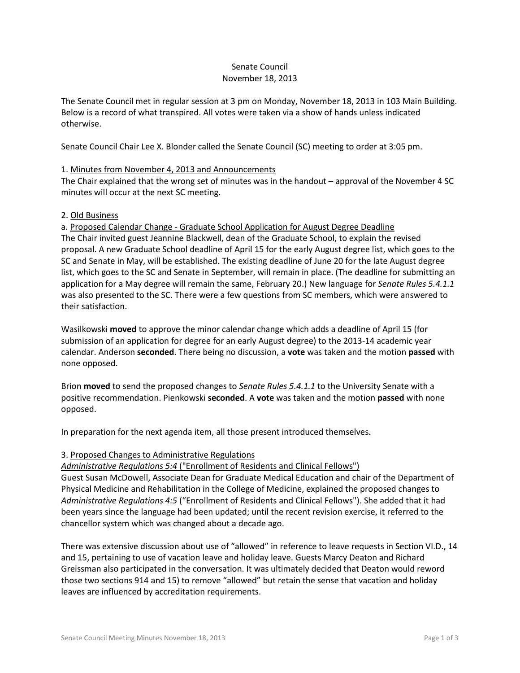## Senate Council November 18, 2013

The Senate Council met in regular session at 3 pm on Monday, November 18, 2013 in 103 Main Building. Below is a record of what transpired. All votes were taken via a show of hands unless indicated otherwise.

Senate Council Chair Lee X. Blonder called the Senate Council (SC) meeting to order at 3:05 pm.

# 1. Minutes from November 4, 2013 and Announcements

The Chair explained that the wrong set of minutes was in the handout – approval of the November 4 SC minutes will occur at the next SC meeting.

## 2. Old Business

a. Proposed Calendar Change - Graduate School Application for August Degree Deadline The Chair invited guest Jeannine Blackwell, dean of the Graduate School, to explain the revised proposal. A new Graduate School deadline of April 15 for the early August degree list, which goes to the SC and Senate in May, will be established. The existing deadline of June 20 for the late August degree list, which goes to the SC and Senate in September, will remain in place. (The deadline for submitting an application for a May degree will remain the same, February 20.) New language for *Senate Rules 5.4.1.1*  was also presented to the SC. There were a few questions from SC members, which were answered to their satisfaction.

Wasilkowski **moved** to approve the minor calendar change which adds a deadline of April 15 (for submission of an application for degree for an early August degree) to the 2013-14 academic year calendar. Anderson **seconded**. There being no discussion, a **vote** was taken and the motion **passed** with none opposed.

Brion **moved** to send the proposed changes to *Senate Rules 5.4.1.1* to the University Senate with a positive recommendation. Pienkowski **seconded**. A **vote** was taken and the motion **passed** with none opposed.

In preparation for the next agenda item, all those present introduced themselves.

#### 3. Proposed Changes to Administrative Regulations

#### *Administrative Regulations 5:4* ("Enrollment of Residents and Clinical Fellows")

Guest Susan McDowell, Associate Dean for Graduate Medical Education and chair of the Department of Physical Medicine and Rehabilitation in the College of Medicine, explained the proposed changes to *Administrative Regulations 4:5* ("Enrollment of Residents and Clinical Fellows"). She added that it had been years since the language had been updated; until the recent revision exercise, it referred to the chancellor system which was changed about a decade ago.

There was extensive discussion about use of "allowed" in reference to leave requests in Section VI.D., 14 and 15, pertaining to use of vacation leave and holiday leave. Guests Marcy Deaton and Richard Greissman also participated in the conversation. It was ultimately decided that Deaton would reword those two sections 914 and 15) to remove "allowed" but retain the sense that vacation and holiday leaves are influenced by accreditation requirements.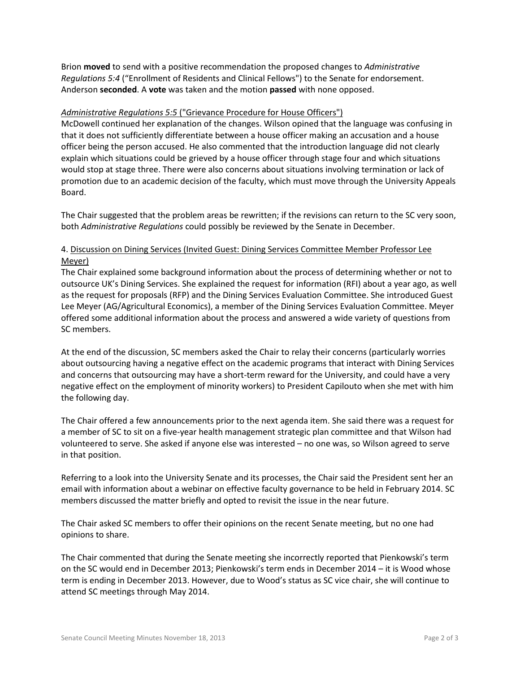Brion **moved** to send with a positive recommendation the proposed changes to *Administrative Regulations 5:4* ("Enrollment of Residents and Clinical Fellows") to the Senate for endorsement. Anderson **seconded**. A **vote** was taken and the motion **passed** with none opposed.

# *Administrative Regulations 5:5* ("Grievance Procedure for House Officers")

McDowell continued her explanation of the changes. Wilson opined that the language was confusing in that it does not sufficiently differentiate between a house officer making an accusation and a house officer being the person accused. He also commented that the introduction language did not clearly explain which situations could be grieved by a house officer through stage four and which situations would stop at stage three. There were also concerns about situations involving termination or lack of promotion due to an academic decision of the faculty, which must move through the University Appeals Board.

The Chair suggested that the problem areas be rewritten; if the revisions can return to the SC very soon, both *Administrative Regulations* could possibly be reviewed by the Senate in December.

# 4. Discussion on Dining Services (Invited Guest: Dining Services Committee Member Professor Lee Meyer)

The Chair explained some background information about the process of determining whether or not to outsource UK's Dining Services. She explained the request for information (RFI) about a year ago, as well as the request for proposals (RFP) and the Dining Services Evaluation Committee. She introduced Guest Lee Meyer (AG/Agricultural Economics), a member of the Dining Services Evaluation Committee. Meyer offered some additional information about the process and answered a wide variety of questions from SC members.

At the end of the discussion, SC members asked the Chair to relay their concerns (particularly worries about outsourcing having a negative effect on the academic programs that interact with Dining Services and concerns that outsourcing may have a short-term reward for the University, and could have a very negative effect on the employment of minority workers) to President Capilouto when she met with him the following day.

The Chair offered a few announcements prior to the next agenda item. She said there was a request for a member of SC to sit on a five-year health management strategic plan committee and that Wilson had volunteered to serve. She asked if anyone else was interested – no one was, so Wilson agreed to serve in that position.

Referring to a look into the University Senate and its processes, the Chair said the President sent her an email with information about a webinar on effective faculty governance to be held in February 2014. SC members discussed the matter briefly and opted to revisit the issue in the near future.

The Chair asked SC members to offer their opinions on the recent Senate meeting, but no one had opinions to share.

The Chair commented that during the Senate meeting she incorrectly reported that Pienkowski's term on the SC would end in December 2013; Pienkowski's term ends in December 2014 – it is Wood whose term is ending in December 2013. However, due to Wood's status as SC vice chair, she will continue to attend SC meetings through May 2014.